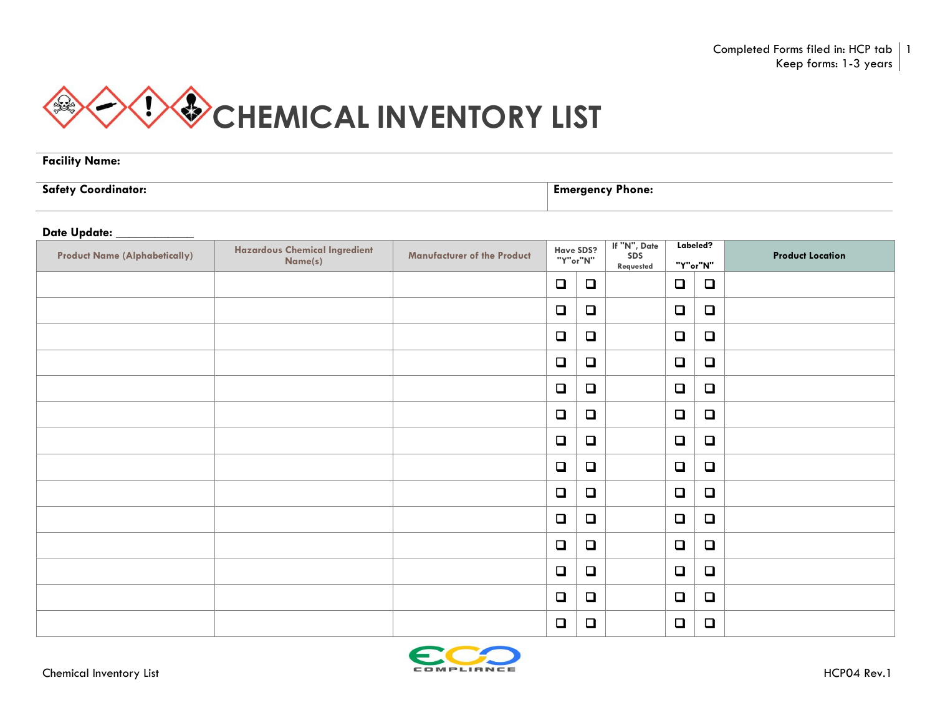

**Facility Name:** 

**Safety Coordinator: Emergency Phone:** 

## **Date Update: \_\_\_\_\_\_\_\_\_\_\_\_**

| <b>Product Name (Alphabetically)</b> | <b>Hazardous Chemical Ingredient</b><br>Name(s) | <b>Manufacturer of the Product</b> | Have SDS?<br>"Y"or"N" |        | If "N", Date<br>SDS<br>Requested | Labeled?<br>"Y"or"N" |        | <b>Product Location</b> |
|--------------------------------------|-------------------------------------------------|------------------------------------|-----------------------|--------|----------------------------------|----------------------|--------|-------------------------|
|                                      |                                                 |                                    | $\Box$                | $\Box$ |                                  | $\Box$               | $\Box$ |                         |
|                                      |                                                 |                                    | $\Box$                | $\Box$ |                                  | $\Box$               | $\Box$ |                         |
|                                      |                                                 |                                    | $\Box$                | $\Box$ |                                  | $\Box$               | $\Box$ |                         |
|                                      |                                                 |                                    | $\Box$                | $\Box$ |                                  | $\Box$               | $\Box$ |                         |
|                                      |                                                 |                                    | $\Box$                | $\Box$ |                                  | $\Box$               | $\Box$ |                         |
|                                      |                                                 |                                    | $\Box$                | $\Box$ |                                  | $\Box$               | $\Box$ |                         |
|                                      |                                                 |                                    | $\Box$                | $\Box$ |                                  | $\Box$               | $\Box$ |                         |
|                                      |                                                 |                                    | $\Box$                | $\Box$ |                                  | $\Box$               | $\Box$ |                         |
|                                      |                                                 |                                    | $\Box$                | $\Box$ |                                  | $\Box$               | $\Box$ |                         |
|                                      |                                                 |                                    | $\Box$                | $\Box$ |                                  | $\Box$               | $\Box$ |                         |
|                                      |                                                 |                                    | $\Box$                | $\Box$ |                                  | $\Box$               | $\Box$ |                         |
|                                      |                                                 |                                    | $\Box$                | $\Box$ |                                  | $\Box$               | $\Box$ |                         |
|                                      |                                                 |                                    | $\Box$                | $\Box$ |                                  | $\Box$               | $\Box$ |                         |
|                                      |                                                 |                                    | $\Box$                | $\Box$ |                                  | $\Box$               | $\Box$ |                         |